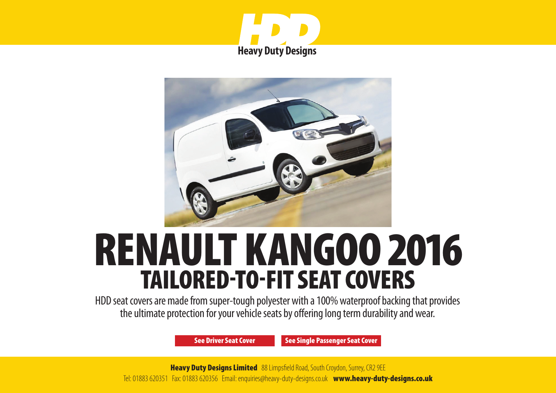



# RENAULT KANGOO 2016 TAILORED-TO-FIT SEAT COVERS

HDD seat covers are made from super-tough polyester with a 100% waterproof backing that provides the ultimate protection for your vehicle seats by offering long term durability and wear.

[See Driver Seat Cover](#page-1-0) [See Single Passenger Seat Cover](#page-2-0)

**Heavy Duty Designs Limited** 88 Limpsfield Road, South Croydon, Surrey, CR2 9EE Tel: 01883 620351 Fax: 01883 620356 Email: enquiries@heavy-duty-designs.co.uk [www.heavy-duty-designs.co.uk](http://www.heavy-duty-designs.co.uk)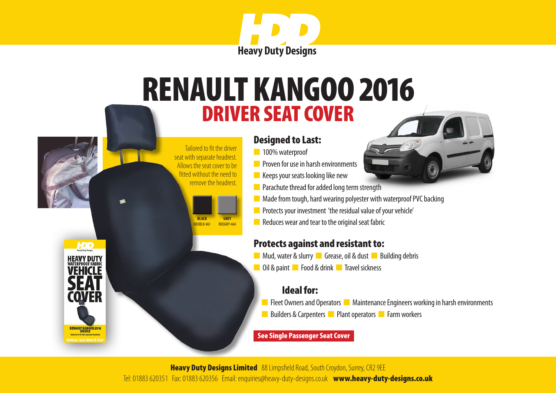

# <span id="page-1-0"></span>DRIVER SEAT COVER RENAULT KANGOO 2016

### Designed to Last:

n 100% waterproof

 Tailored to fit the driver seat with separate headrest. Allows the seat cover to be fitted without the need to remove the headrest.

> **BLACK** RKDRIK-461

**HDD** 

**HEAVY DUT** 

**RENAULT KANGOO 2016** 

**GREY** RKDGRY-464

- **n** Proven for use in harsh environments
- $\blacksquare$  Keeps your seats looking like new
- **n** Parachute thread for added long term strength
- $\blacksquare$  Made from tough, hard wearing polyester with waterproof PVC backing
- **n** Protects your investment 'the residual value of your vehicle'
- $\blacksquare$  Reduces wear and tear to the original seat fabric

# Protects against and resistant to:

- **n** Mud, water & slurry **n** Grease, oil & dust **n** Building debris
- **n** Oil & paint **n** Food & drink **n** Travel sickness

## Ideal for:

**n** Fleet Owners and Operators **n** Maintenance Engineers working in harsh environments n Builders & Carpenters **n** Plant operators **n** Farm workers

#### [See Single Passenger Seat Cover](#page-2-0)